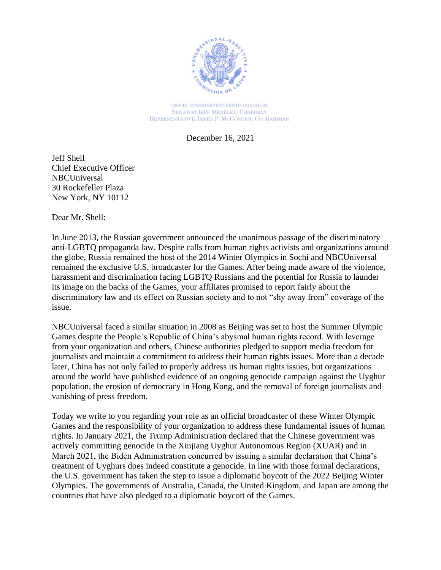

ONE HUNDRED SEVENTEENTH CONGRESS **SENATOR JEFF MERKLEY, CHAIRMAN** REPRESENTATIVE JAMES P. MCGOVERN, COCHAIRMAN

December 16, 2021

Jeff Shell Chief Executive Officer **NBCUniversal** 30 Rockefeller Plaza New York, NY 10112

Dear Mr. Shell:

In June 2013, the Russian government announced the unanimous passage of the discriminatory anti-LGBTQ propaganda law. Despite calls from human rights activists and organizations around the globe, Russia remained the host of the 2014 Winter Olympics in Sochi and NBCUniversal remained the exclusive U.S. broadcaster for the Games. After being made aware of the violence, harassment and discrimination facing LGBTQ Russians and the potential for Russia to launder its image on the backs of the Games, your affiliates promised to report fairly about the discriminatory law and its effect on Russian society and to not "shy away from" coverage of the issue.

NBCUniversal faced a similar situation in 2008 as Beijing was set to host the Summer Olympic Games despite the People's Republic of China's abysmal human rights record. With leverage from your organization and others, Chinese authorities pledged to support media freedom for journalists and maintain a commitment to address their human rights issues. More than a decade later, China has not only failed to properly address its human rights issues, but organizations around the world have published evidence of an ongoing genocide campaign against the Uyghur population, the erosion of democracy in Hong Kong, and the removal of foreign journalists and vanishing of press freedom.

Today we write to you regarding your role as an official broadcaster of these Winter Olympic Games and the responsibility of your organization to address these fundamental issues of human rights. In January 2021, the Trump Administration declared that the Chinese government was actively committing genocide in the Xinjiang Uyghur Autonomous Region (XUAR) and in March 2021, the Biden Administration concurred by issuing a similar declaration that China's treatment of Uyghurs does indeed constitute a genocide. In line with those formal declarations, the U.S. government has taken the step to issue a diplomatic boycott of the 2022 Beijing Winter Olympics. The governments of Australia, Canada, the United Kingdom, and Japan are among the countries that have also pledged to a diplomatic boycott of the Games.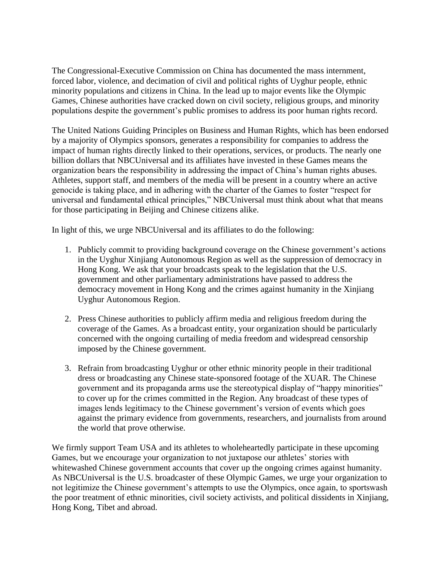The Congressional-Executive Commission on China has documented the mass internment, forced labor, violence, and decimation of civil and political rights of Uyghur people, ethnic minority populations and citizens in China. In the lead up to major events like the Olympic Games, Chinese authorities have cracked down on civil society, religious groups, and minority populations despite the government's public promises to address its poor human rights record.

The United Nations Guiding Principles on Business and Human Rights, which has been endorsed by a majority of Olympics sponsors, generates a responsibility for companies to address the impact of human rights directly linked to their operations, services, or products. The nearly one billion dollars that NBCUniversal and its affiliates have invested in these Games means the organization bears the responsibility in addressing the impact of China's human rights abuses. Athletes, support staff, and members of the media will be present in a country where an active genocide is taking place, and in adhering with the charter of the Games to foster "respect for universal and fundamental ethical principles," NBCUniversal must think about what that means for those participating in Beijing and Chinese citizens alike.

In light of this, we urge NBCUniversal and its affiliates to do the following:

- 1. Publicly commit to providing background coverage on the Chinese government's actions in the Uyghur Xinjiang Autonomous Region as well as the suppression of democracy in Hong Kong. We ask that your broadcasts speak to the legislation that the U.S. government and other parliamentary administrations have passed to address the democracy movement in Hong Kong and the crimes against humanity in the Xinjiang Uyghur Autonomous Region.
- 2. Press Chinese authorities to publicly affirm media and religious freedom during the coverage of the Games. As a broadcast entity, your organization should be particularly concerned with the ongoing curtailing of media freedom and widespread censorship imposed by the Chinese government.
- 3. Refrain from broadcasting Uyghur or other ethnic minority people in their traditional dress or broadcasting any Chinese state-sponsored footage of the XUAR. The Chinese government and its propaganda arms use the stereotypical display of "happy minorities" to cover up for the crimes committed in the Region. Any broadcast of these types of images lends legitimacy to the Chinese government's version of events which goes against the primary evidence from governments, researchers, and journalists from around the world that prove otherwise.

We firmly support Team USA and its athletes to wholeheartedly participate in these upcoming Games, but we encourage your organization to not juxtapose our athletes' stories with whitewashed Chinese government accounts that cover up the ongoing crimes against humanity. As NBCUniversal is the U.S. broadcaster of these Olympic Games, we urge your organization to not legitimize the Chinese government's attempts to use the Olympics, once again, to sportswash the poor treatment of ethnic minorities, civil society activists, and political dissidents in Xinjiang, Hong Kong, Tibet and abroad.